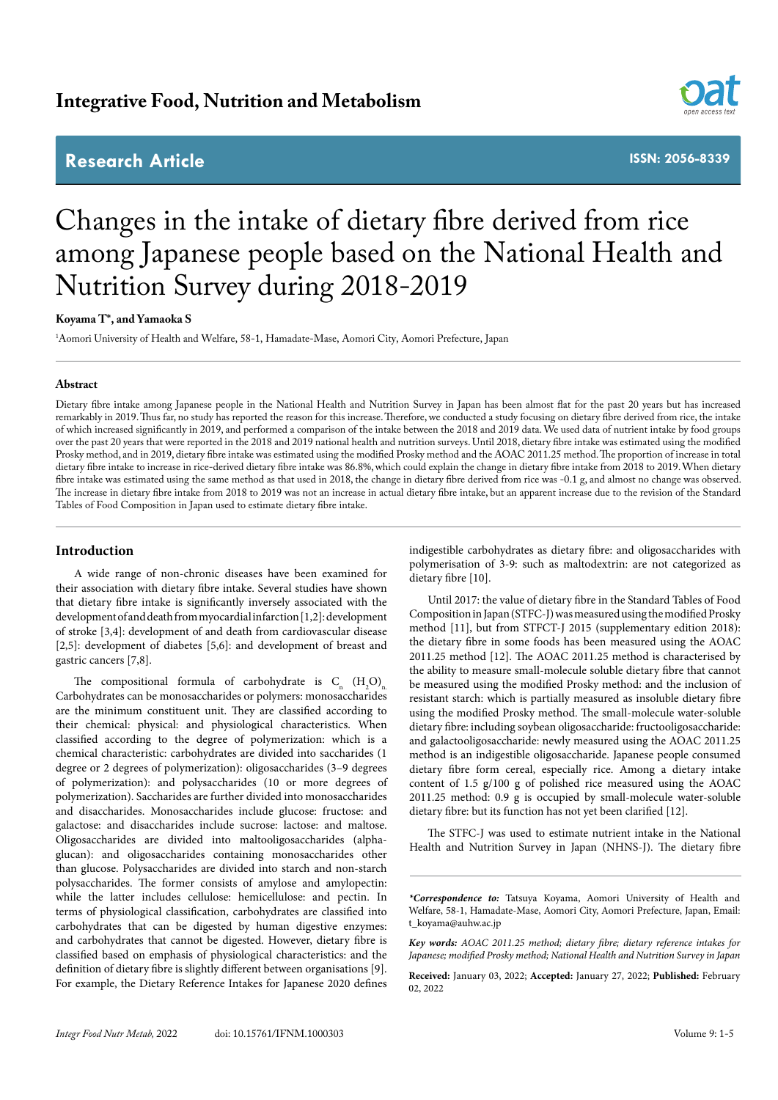# **Integrative Food, Nutrition and Metabolism**

# **Research Article**



**ISSN: 2056-8339**

# Changes in the intake of dietary fibre derived from rice among Japanese people based on the National Health and Nutrition Survey during 2018-2019

## **Koyama T\*, and Yamaoka S**

1 Aomori University of Health and Welfare, 58-1, Hamadate-Mase, Aomori City, Aomori Prefecture, Japan

#### **Abstract**

Dietary fibre intake among Japanese people in the National Health and Nutrition Survey in Japan has been almost flat for the past 20 years but has increased remarkably in 2019. Thus far, no study has reported the reason for this increase. Therefore, we conducted a study focusing on dietary fibre derived from rice, the intake of which increased significantly in 2019, and performed a comparison of the intake between the 2018 and 2019 data. We used data of nutrient intake by food groups over the past 20 years that were reported in the 2018 and 2019 national health and nutrition surveys. Until 2018, dietary fibre intake was estimated using the modified Prosky method, and in 2019, dietary fibre intake was estimated using the modified Prosky method and the AOAC 2011.25 method. The proportion of increase in total dietary fibre intake to increase in rice-derived dietary fibre intake was 86.8%, which could explain the change in dietary fibre intake from 2018 to 2019. When dietary fibre intake was estimated using the same method as that used in 2018, the change in dietary fibre derived from rice was -0.1 g, and almost no change was observed. The increase in dietary fibre intake from 2018 to 2019 was not an increase in actual dietary fibre intake, but an apparent increase due to the revision of the Standard Tables of Food Composition in Japan used to estimate dietary fibre intake.

# **Introduction**

A wide range of non-chronic diseases have been examined for their association with dietary fibre intake. Several studies have shown that dietary fibre intake is significantly inversely associated with the development of and death from myocardial infarction [1,2]: development of stroke [3,4]: development of and death from cardiovascular disease [2,5]: development of diabetes [5,6]: and development of breast and gastric cancers [7,8].

The compositional formula of carbohydrate is  $C_n$   $(H_2O)_n$ . Carbohydrates can be monosaccharides or polymers: monosaccharides are the minimum constituent unit. They are classified according to their chemical: physical: and physiological characteristics. When classified according to the degree of polymerization: which is a chemical characteristic: carbohydrates are divided into saccharides (1 degree or 2 degrees of polymerization): oligosaccharides (3–9 degrees of polymerization): and polysaccharides (10 or more degrees of polymerization). Saccharides are further divided into monosaccharides and disaccharides. Monosaccharides include glucose: fructose: and galactose: and disaccharides include sucrose: lactose: and maltose. Oligosaccharides are divided into maltooligosaccharides (alphaglucan): and oligosaccharides containing monosaccharides other than glucose. Polysaccharides are divided into starch and non-starch polysaccharides. The former consists of amylose and amylopectin: while the latter includes cellulose: hemicellulose: and pectin. In terms of physiological classification, carbohydrates are classified into carbohydrates that can be digested by human digestive enzymes: and carbohydrates that cannot be digested. However, dietary fibre is classified based on emphasis of physiological characteristics: and the definition of dietary fibre is slightly different between organisations [9]. For example, the Dietary Reference Intakes for Japanese 2020 defines

indigestible carbohydrates as dietary fibre: and oligosaccharides with polymerisation of 3-9: such as maltodextrin: are not categorized as dietary fibre [10].

Until 2017: the value of dietary fibre in the Standard Tables of Food Composition in Japan (STFC-J) was measured using the modified Prosky method [11], but from STFCT-J 2015 (supplementary edition 2018): the dietary fibre in some foods has been measured using the AOAC 2011.25 method [12]. The AOAC 2011.25 method is characterised by the ability to measure small-molecule soluble dietary fibre that cannot be measured using the modified Prosky method: and the inclusion of resistant starch: which is partially measured as insoluble dietary fibre using the modified Prosky method. The small-molecule water-soluble dietary fibre: including soybean oligosaccharide: fructooligosaccharide: and galactooligosaccharide: newly measured using the AOAC 2011.25 method is an indigestible oligosaccharide. Japanese people consumed dietary fibre form cereal, especially rice. Among a dietary intake content of 1.5 g/100 g of polished rice measured using the AOAC 2011.25 method: 0.9 g is occupied by small-molecule water-soluble dietary fibre: but its function has not yet been clarified [12].

The STFC-J was used to estimate nutrient intake in the National Health and Nutrition Survey in Japan (NHNS-J). The dietary fibre

**Received:** January 03, 2022; **Accepted:** January 27, 2022; **Published:** February  $02, 2022$ 

*<sup>\*</sup>Correspondence to:* Tatsuya Koyama, Aomori University of Health and Welfare, 58-1, Hamadate-Mase, Aomori City, Aomori Prefecture, Japan, Email: t\_koyama@auhw.ac.jp

*Key words: AOAC 2011.25 method; dietary fibre; dietary reference intakes for Japanese; modified Prosky method; National Health and Nutrition Survey in Japan*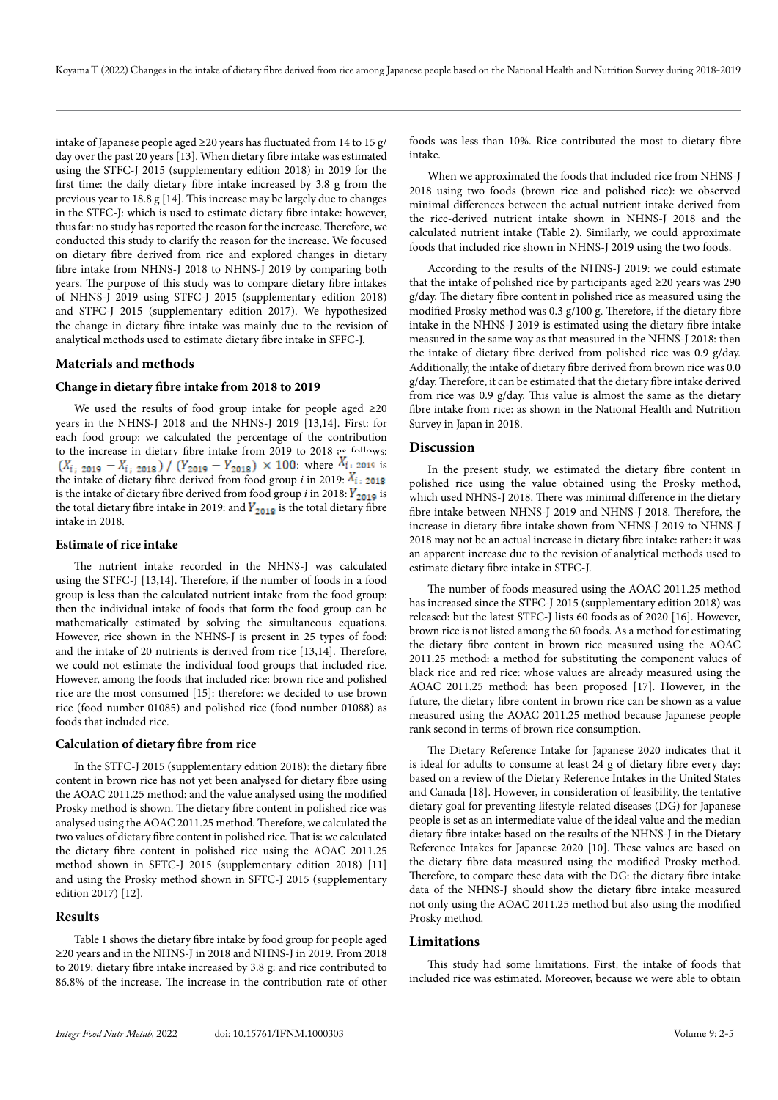intake of Japanese people aged  $\geq$ 20 years has fluctuated from 14 to 15 g/ day over the past 20 years [13]. When dietary fibre intake was estimated using the STFC-J 2015 (supplementary edition 2018) in 2019 for the first time: the daily dietary fibre intake increased by 3.8 g from the previous year to 18.8 g [14]. This increase may be largely due to changes in the STFC-J: which is used to estimate dietary fibre intake: however, thus far: no study has reported the reason for the increase. Therefore, we conducted this study to clarify the reason for the increase. We focused on dietary fibre derived from rice and explored changes in dietary fibre intake from NHNS-J 2018 to NHNS-J 2019 by comparing both years. The purpose of this study was to compare dietary fibre intakes of NHNS-J 2019 using STFC-J 2015 (supplementary edition 2018) and STFC-J 2015 (supplementary edition 2017). We hypothesized the change in dietary fibre intake was mainly due to the revision of analytical methods used to estimate dietary fibre intake in SFFC-J.

# **Materials and methods**

#### **Change in dietary fibre intake from 2018 to 2019**

We used the results of food group intake for people aged  $\geq 20$ years in the NHNS-J 2018 and the NHNS-J 2019 [13,14]. First: for each food group: we calculated the percentage of the contribution to the increase in dietary fibre intake from 2019 to 2018 as follows:  $(X_{i, 2019} - X_{i, 2018}) / (Y_{2019} - Y_{2018}) \times 100$ : where  $X_{i \pm 2019}$  is the intake of dietary fibre derived from food group *i* in 2019:  $X_{i}$  2018 is the intake of dietary fibre derived from food group *i* in 2018:  $\overline{Y_{2019}}$  is the total dietary fibre intake in 2019: and  $Y_{2018}$  is the total dietary fibre intake in 2018.

#### **Estimate of rice intake**

The nutrient intake recorded in the NHNS-J was calculated using the STFC-J [13,14]. Therefore, if the number of foods in a food group is less than the calculated nutrient intake from the food group: then the individual intake of foods that form the food group can be mathematically estimated by solving the simultaneous equations. However, rice shown in the NHNS-J is present in 25 types of food: and the intake of 20 nutrients is derived from rice [13,14]. Therefore, we could not estimate the individual food groups that included rice. However, among the foods that included rice: brown rice and polished rice are the most consumed [15]: therefore: we decided to use brown rice (food number 01085) and polished rice (food number 01088) as foods that included rice.

#### **Calculation of dietary fibre from rice**

In the STFC-J 2015 (supplementary edition 2018): the dietary fibre content in brown rice has not yet been analysed for dietary fibre using the AOAC 2011.25 method: and the value analysed using the modified Prosky method is shown. The dietary fibre content in polished rice was analysed using the AOAC 2011.25 method. Therefore, we calculated the two values of dietary fibre content in polished rice. That is: we calculated the dietary fibre content in polished rice using the AOAC 2011.25 method shown in SFTC-J 2015 (supplementary edition 2018) [11] and using the Prosky method shown in SFTC-J 2015 (supplementary edition 2017) [12].

### **Results**

Table 1 shows the dietary fibre intake by food group for people aged ≥20 years and in the NHNS-J in 2018 and NHNS-J in 2019. From 2018 to 2019: dietary fibre intake increased by 3.8 g: and rice contributed to 86.8% of the increase. The increase in the contribution rate of other

foods was less than 10%. Rice contributed the most to dietary fibre intake.

When we approximated the foods that included rice from NHNS-J 2018 using two foods (brown rice and polished rice): we observed minimal differences between the actual nutrient intake derived from the rice-derived nutrient intake shown in NHNS-J 2018 and the calculated nutrient intake (Table 2). Similarly, we could approximate foods that included rice shown in NHNS-J 2019 using the two foods.

According to the results of the NHNS-J 2019: we could estimate that the intake of polished rice by participants aged  $\geq 20$  years was 290 g/day. The dietary fibre content in polished rice as measured using the modified Prosky method was 0.3 g/100 g. Therefore, if the dietary fibre intake in the NHNS-J 2019 is estimated using the dietary fibre intake measured in the same way as that measured in the NHNS-J 2018: then the intake of dietary fibre derived from polished rice was 0.9 g/day. Additionally, the intake of dietary fibre derived from brown rice was 0.0 g/day. Therefore, it can be estimated that the dietary fibre intake derived from rice was 0.9 g/day. This value is almost the same as the dietary fibre intake from rice: as shown in the National Health and Nutrition Survey in Japan in 2018.

#### **Discussion**

In the present study, we estimated the dietary fibre content in polished rice using the value obtained using the Prosky method, which used NHNS-J 2018. There was minimal difference in the dietary fibre intake between NHNS-J 2019 and NHNS-J 2018. Therefore, the increase in dietary fibre intake shown from NHNS-J 2019 to NHNS-J 2018 may not be an actual increase in dietary fibre intake: rather: it was an apparent increase due to the revision of analytical methods used to estimate dietary fibre intake in STFC-J.

The number of foods measured using the AOAC 2011.25 method has increased since the STFC-J 2015 (supplementary edition 2018) was released: but the latest STFC-J lists 60 foods as of 2020 [16]. However, brown rice is not listed among the 60 foods. As a method for estimating the dietary fibre content in brown rice measured using the AOAC 2011.25 method: a method for substituting the component values of black rice and red rice: whose values are already measured using the AOAC 2011.25 method: has been proposed [17]. However, in the future, the dietary fibre content in brown rice can be shown as a value measured using the AOAC 2011.25 method because Japanese people rank second in terms of brown rice consumption.

The Dietary Reference Intake for Japanese 2020 indicates that it is ideal for adults to consume at least 24 g of dietary fibre every day: based on a review of the Dietary Reference Intakes in the United States and Canada [18]. However, in consideration of feasibility, the tentative dietary goal for preventing lifestyle-related diseases (DG) for Japanese people is set as an intermediate value of the ideal value and the median dietary fibre intake: based on the results of the NHNS-J in the Dietary Reference Intakes for Japanese 2020 [10]. These values are based on the dietary fibre data measured using the modified Prosky method. Therefore, to compare these data with the DG: the dietary fibre intake data of the NHNS-J should show the dietary fibre intake measured not only using the AOAC 2011.25 method but also using the modified Prosky method.

## **Limitations**

This study had some limitations. First, the intake of foods that included rice was estimated. Moreover, because we were able to obtain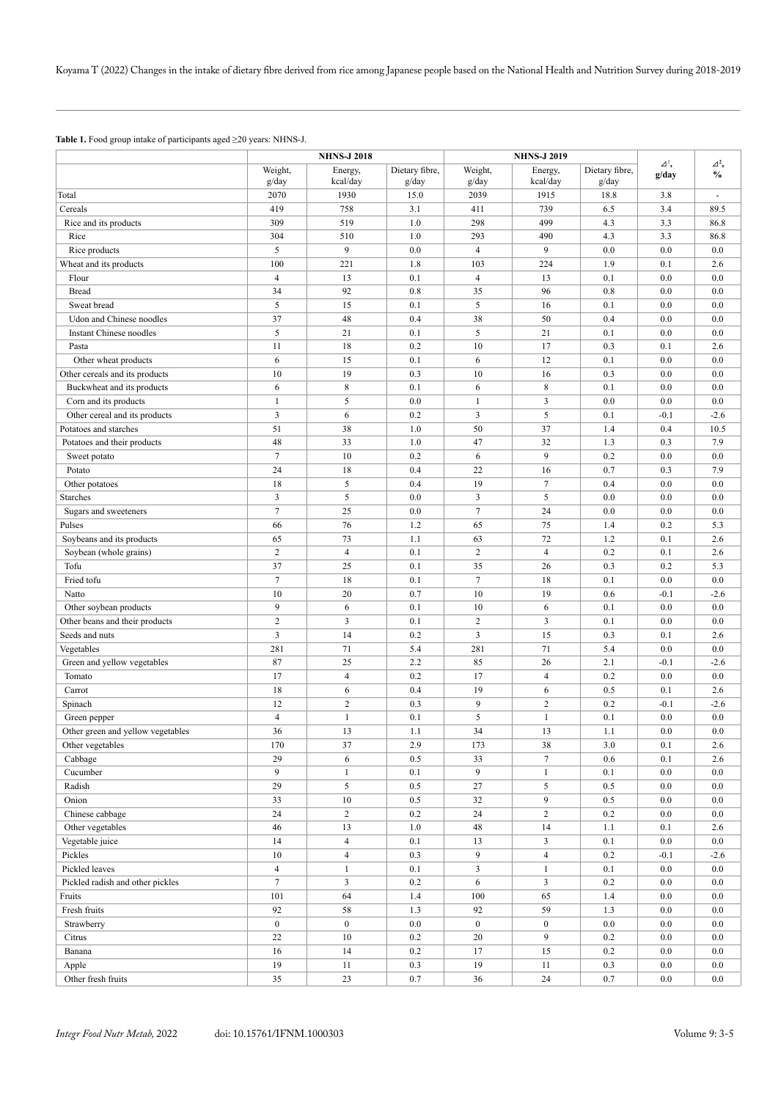**Table 1.** Food group intake of participants aged ≥20 years: NHNS-J.

|                                   |                         | <b>NHNS-J 2018</b>  |                         |                      | <b>NHNS-J 2019</b>     |                         |                          |                                  |  |
|-----------------------------------|-------------------------|---------------------|-------------------------|----------------------|------------------------|-------------------------|--------------------------|----------------------------------|--|
|                                   | Weight,<br>g/day        | Energy,<br>kcal/day | Dietary fibre,<br>g/day | Weight,<br>g/day     | Energy,<br>kcal/day    | Dietary fibre,<br>g/day | $\varDelta^1$ ,<br>g/day | $\varDelta^2$ ,<br>$\frac{0}{0}$ |  |
| Total                             | 2070                    | 1930                | 15.0                    | 2039                 | 1915                   | 18.8                    | 3.8                      | $\overline{\phantom{a}}$         |  |
| Cereals                           | 419                     | 758                 | 3.1                     | 411                  | 739                    | 6.5                     | 3.4                      | 89.5                             |  |
| Rice and its products             | 309                     | 519                 | 1.0                     | 298                  | 499                    | 4.3                     | 3.3                      | 86.8                             |  |
| Rice                              | 304                     | 510                 | 1.0                     | 293                  | 490                    | 4.3                     | 3.3                      | 86.8                             |  |
| Rice products                     | 5                       | 9                   | 0.0                     | $\overline{4}$       | 9                      | 0.0                     | 0.0                      | 0.0                              |  |
| Wheat and its products            | 100                     | 221                 | 1.8                     | 103                  | 224                    | 1.9                     | 0.1                      | 2.6                              |  |
| Flour                             | $\overline{4}$          | 13                  | 0.1                     | $\overline{4}$       | 13                     | 0.1                     | 0.0                      | 0.0                              |  |
| <b>Bread</b>                      | 34                      | 92                  | 0.8                     | 35                   | 96                     | 0.8                     | 0.0                      | 0.0                              |  |
| Sweat bread                       | 5                       | 15                  | 0.1                     | 5                    | 16                     | 0.1                     | 0.0                      | 0.0                              |  |
| Udon and Chinese noodles          | 37                      | 48                  | 0.4                     | 38                   | 50                     | 0.4                     | 0.0                      | 0.0                              |  |
| Instant Chinese noodles           | 5                       | 21                  | 0.1                     | 5                    | 21                     | 0.1                     | 0.0                      | 0.0                              |  |
| Pasta                             | 11                      | 18                  | 0.2                     | 10                   | 17                     | 0.3                     | 0.1                      | 2.6                              |  |
| Other wheat products              | 6                       | 15                  | 0.1                     | 6                    | 12                     | 0.1                     | 0.0                      | 0.0                              |  |
| Other cereals and its products    | 10                      | 19                  | 0.3                     | 10                   | 16                     | 0.3                     | 0.0                      | 0.0                              |  |
| Buckwheat and its products        | 6                       | $\,8\,$             | 0.1                     | 6                    | 8                      | 0.1                     | 0.0                      | 0.0                              |  |
| Corn and its products             | $\mathbf{1}$            | 5                   | 0.0                     | $\mathbf{1}$         | 3                      | 0.0                     | 0.0                      | 0.0                              |  |
| Other cereal and its products     | 3                       | 6                   | 0.2                     | 3                    | 5                      | 0.1                     | $-0.1$                   | $-2.6$                           |  |
| Potatoes and starches             | 51                      | 38                  | 1.0                     | 50                   | 37                     | 1.4                     | 0.4                      | 10.5                             |  |
| Potatoes and their products       | 48                      | 33                  | 1.0                     | 47                   | 32                     | 1.3                     | 0.3                      | 7.9                              |  |
| Sweet potato                      | $\tau$                  | 10                  | 0.2                     | 6                    | 9                      | 0.2                     | 0.0                      | 0.0                              |  |
| Potato                            | 24                      | 18                  | 0.4                     | 22                   | 16                     | 0.7                     | 0.3                      | 7.9                              |  |
| Other potatoes                    | 18                      | 5                   | 0.4                     | 19                   | $\tau$                 | 0.4                     | 0.0                      | 0.0                              |  |
| <b>Starches</b>                   | $\overline{\mathbf{3}}$ | 5                   | 0.0                     | 3                    | 5                      | 0.0                     | 0.0                      | 0.0                              |  |
| Sugars and sweeteners             | $\tau$                  | 25                  | 0.0                     | $\tau$               | 24                     | 0.0                     | 0.0                      | 0.0                              |  |
| Pulses                            | 66                      | 76                  | 1.2                     | 65                   | 75                     | 1.4                     | 0.2                      | 5.3                              |  |
| Soybeans and its products         | 65                      | 73                  | 1.1                     | 63                   | 72                     | 1.2                     | 0.1                      | 2.6                              |  |
| Soybean (whole grains)            | $\overline{c}$          | $\overline{4}$      | 0.1                     | $\overline{c}$       | $\overline{4}$         | 0.2                     | 0.1                      | 2.6                              |  |
| Tofu                              | 37                      | 25                  | 0.1                     | 35                   | 26                     | 0.3                     | 0.2                      | 5.3                              |  |
| Fried tofu                        | $\tau$                  | 18                  | 0.1                     | $\tau$               | 18                     | 0.1                     | 0.0                      | 0.0                              |  |
| Natto                             | 10                      | 20                  | 0.7                     | 10                   | 19                     | 0.6                     | $-0.1$                   | $-2.6$                           |  |
| Other soybean products            | 9                       | 6                   | 0.1                     | 10                   | 6                      | 0.1                     | 0.0                      | 0.0                              |  |
| Other beans and their products    | $\overline{c}$          | 3                   | 0.1                     | $\overline{c}$       | 3                      | 0.1                     | 0.0                      | 0.0                              |  |
| Seeds and nuts                    | $\overline{\mathbf{3}}$ | 14                  | 0.2                     | 3                    | 15                     | 0.3                     | 0.1                      | 2.6                              |  |
| Vegetables                        | 281                     | 71                  | 5.4                     | 281                  | 71                     | 5.4                     | 0.0                      | 0.0                              |  |
| Green and yellow vegetables       | 87                      | 25                  | 2.2                     | 85                   | 26                     | 2.1                     | $-0.1$                   | $-2.6$                           |  |
| Tomato                            | 17                      | $\overline{4}$      | 0.2                     | 17                   | $\overline{4}$         | 0.2                     | 0.0                      | 0.0                              |  |
| Carrot                            | 18                      | 6                   | 0.4                     | 19                   | 6                      | 0.5                     | 0.1                      | 2.6                              |  |
| Spinach                           | 12                      | $\overline{c}$      | 0.3                     | 9                    | $\overline{c}$         | 0.2                     | $-0.1$                   | $-2.6$                           |  |
| Green pepper                      | $\overline{4}$          | $\mathbf{1}$        | 0.1                     | 5                    | $\mathbf{1}$           | 0.1                     | 0.0                      | 0.0                              |  |
| Other green and yellow vegetables | 36                      | 13                  | 1.1                     | 34                   | 13                     | 1.1                     | 0.0                      | 0.0                              |  |
| Other vegetables                  | 170<br>29               | 37                  | 2.9                     | 173                  | 38<br>$\boldsymbol{7}$ | 3.0                     | 0.1                      | 2.6                              |  |
| Cabbage<br>Cucumber               | 9                       | 6<br>$\,1\,$        | 0.5<br>0.1              | 33<br>$\overline{9}$ | $\mathbf{1}$           | 0.6<br>0.1              | 0.1<br>$0.0\,$           | 2.6<br>0.0                       |  |
| Radish                            | 29                      | 5                   | 0.5                     | $27\,$               | 5                      | 0.5                     | 0.0                      | $0.0\,$                          |  |
| Onion                             | 33                      | $10\,$              | 0.5                     | 32                   | 9                      | 0.5                     | 0.0                      | 0.0                              |  |
| Chinese cabbage                   | 24                      | $\sqrt{2}$          | 0.2                     | 24                   | $\overline{c}$         | 0.2                     | 0.0                      | 0.0                              |  |
| Other vegetables                  | 46                      | 13                  | $1.0\,$                 | 48                   | 14                     | 1.1                     | 0.1                      | 2.6                              |  |
| Vegetable juice                   | 14                      | $\overline{4}$      | 0.1                     | 13                   | 3                      | 0.1                     | 0.0                      | 0.0                              |  |
| Pickles                           | 10                      | $\overline{4}$      | 0.3                     | 9                    | $\overline{4}$         | 0.2                     | $-0.1$                   | $-2.6$                           |  |
| Pickled leaves                    | $\overline{4}$          | $\mathbf{1}$        | 0.1                     | $\mathfrak{Z}$       | $\mathbf{1}$           | 0.1                     | $0.0\,$                  | 0.0                              |  |
| Pickled radish and other pickles  | $\overline{7}$          | $\overline{3}$      | 0.2                     | $\sqrt{6}$           | $\mathfrak{Z}$         | 0.2                     | 0.0                      | 0.0                              |  |
| Fruits                            | 101                     | 64                  | 1.4                     | 100                  | 65                     | 1.4                     | 0.0                      | 0.0                              |  |
| Fresh fruits                      | 92                      | 58                  | 1.3                     | 92                   | 59                     | 1.3                     | 0.0                      | 0.0                              |  |
| Strawberry                        | $\boldsymbol{0}$        | $\boldsymbol{0}$    | 0.0                     | $\bf{0}$             | $\mathbf{0}$           | $0.0\,$                 | 0.0                      | $0.0\,$                          |  |
| Citrus                            | 22                      | $10\,$              | 0.2                     | 20                   | 9                      | 0.2                     | 0.0                      | 0.0                              |  |
| Banana                            | 16                      | 14                  | 0.2                     | 17                   | 15                     | 0.2                     | 0.0                      | 0.0                              |  |
| Apple                             | 19                      | 11                  | 0.3                     | 19                   | 11                     | 0.3                     | 0.0                      | 0.0                              |  |
| Other fresh fruits                | $35\,$                  | $23\,$              | $0.7\,$                 | $36\,$               | 24                     | $0.7\,$                 | $0.0\,$                  | 0.0                              |  |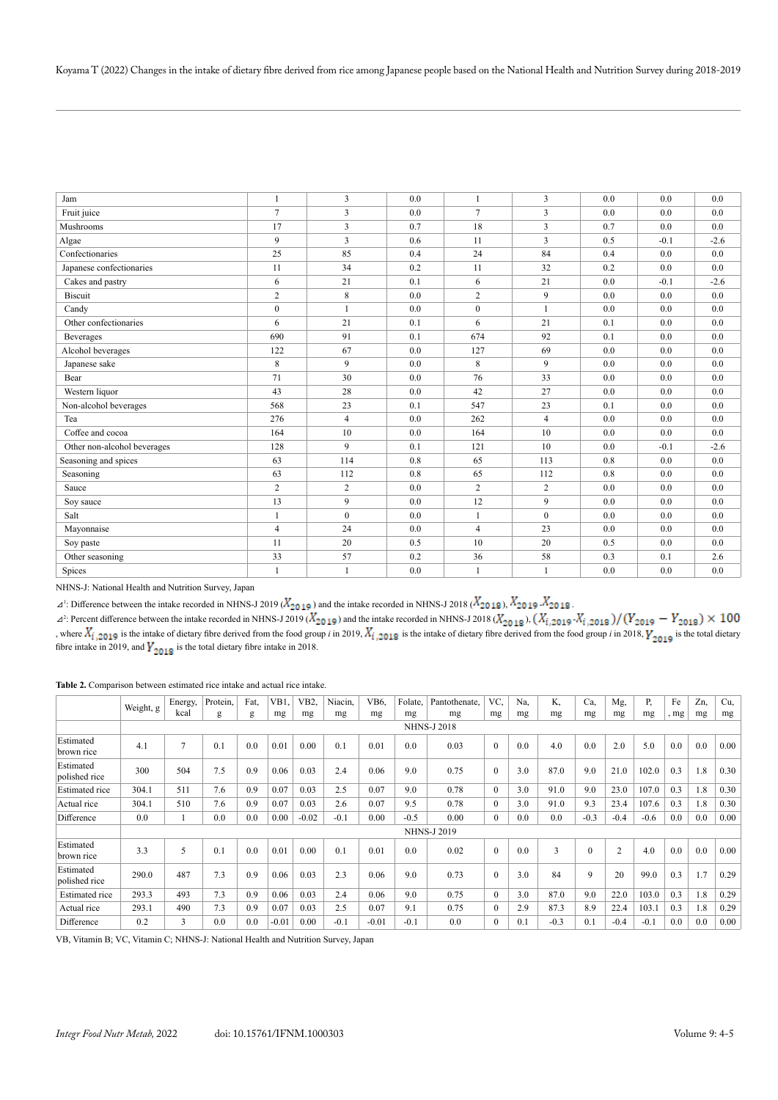| Jam                         | $\mathbf{1}$   | 3              | 0.0 | 1              | 3              | 0.0 | 0.0    | 0.0    |
|-----------------------------|----------------|----------------|-----|----------------|----------------|-----|--------|--------|
| Fruit juice                 | $\tau$         | 3              | 0.0 | $\tau$         | 3              | 0.0 | 0.0    | 0.0    |
| Mushrooms                   | 17             | $\overline{3}$ | 0.7 | 18             | 3              | 0.7 | 0.0    | 0.0    |
| Algae                       | 9              | 3              | 0.6 | 11             | 3              | 0.5 | $-0.1$ | $-2.6$ |
| Confectionaries             | 25             | 85             | 0.4 | 24             | 84             | 0.4 | 0.0    | 0.0    |
| Japanese confectionaries    | 11             | 34             | 0.2 | 11             | 32             | 0.2 | 0.0    | 0.0    |
| Cakes and pastry            | 6              | 21             | 0.1 | 6              | 21             | 0.0 | $-0.1$ | $-2.6$ |
| Biscuit                     | $\overline{c}$ | 8              | 0.0 | $\overline{c}$ | 9              | 0.0 | 0.0    | 0.0    |
| Candy                       | $\mathbf{0}$   | $\mathbf{1}$   | 0.0 | $\mathbf{0}$   | $\mathbf{1}$   | 0.0 | 0.0    | 0.0    |
| Other confectionaries       | 6              | 21             | 0.1 | 6              | 21             | 0.1 | 0.0    | 0.0    |
| <b>Beverages</b>            | 690            | 91             | 0.1 | 674            | 92             | 0.1 | 0.0    | 0.0    |
| Alcohol beverages           | 122            | 67             | 0.0 | 127            | 69             | 0.0 | 0.0    | 0.0    |
| Japanese sake               | 8              | 9              | 0.0 | 8              | 9              | 0.0 | 0.0    | 0.0    |
| Bear                        | 71             | 30             | 0.0 | 76             | 33             | 0.0 | 0.0    | 0.0    |
| Western liquor              | 43             | 28             | 0.0 | 42             | 27             | 0.0 | 0.0    | 0.0    |
| Non-alcohol beverages       | 568            | 23             | 0.1 | 547            | 23             | 0.1 | 0.0    | 0.0    |
| Tea                         | 276            | $\overline{4}$ | 0.0 | 262            | $\overline{4}$ | 0.0 | 0.0    | 0.0    |
| Coffee and cocoa            | 164            | 10             | 0.0 | 164            | 10             | 0.0 | 0.0    | 0.0    |
| Other non-alcohol beverages | 128            | $\mathbf{Q}$   | 0.1 | 121            | 10             | 0.0 | $-0.1$ | $-2.6$ |
| Seasoning and spices        | 63             | 114            | 0.8 | 65             | 113            | 0.8 | 0.0    | 0.0    |
| Seasoning                   | 63             | 112            | 0.8 | 65             | 112            | 0.8 | 0.0    | 0.0    |
| Sauce                       | $\overline{c}$ | $\overline{c}$ | 0.0 | $\overline{c}$ | $\overline{c}$ | 0.0 | 0.0    | 0.0    |
| Soy sauce                   | 13             | 9              | 0.0 | 12             | 9              | 0.0 | 0.0    | 0.0    |
| Salt                        | $\mathbf{1}$   | $\theta$       | 0.0 | $\mathbf{1}$   | $\theta$       | 0.0 | 0.0    | 0.0    |
| Mayonnaise                  | $\overline{4}$ | 24             | 0.0 | $\overline{4}$ | 23             | 0.0 | 0.0    | 0.0    |
| Soy paste                   | 11             | 20             | 0.5 | 10             | 20             | 0.5 | 0.0    | 0.0    |
| Other seasoning             | 33             | 57             | 0.2 | 36             | 58             | 0.3 | 0.1    | 2.6    |
| Spices                      | $\mathbf{1}$   | $\mathbf{1}$   | 0.0 | $\mathbf{1}$   | $\mathbf{1}$   | 0.0 | 0.0    | 0.0    |

NHNS-J: National Health and Nutrition Survey, Japan

 $\Delta^1$ : Difference between the intake recorded in NHNS-J 2019 ( $\chi_{2019}$ ) and the intake recorded in NHNS-J 2018 ( $\Lambda_{2018}$ ),  $\Lambda_{2019}$   $\Lambda_{2018}$ 

 $\Delta^2$ : Percent difference between the intake recorded in NHNS-J 2019 ( $X_{20,19}$ ) and the intake recorded in NHNS-J 2018 ( $X_{20,19}$ ), ( $X_{1,20,19}$ ) , where  $X_i$  2019 is the intake of dietary fibre derived from the food group *i* in 2019,  $X_i$  2019 is the intake of dietary fibre derived from the food group *i* in 2018,  $Y_{\text{2010}}$  is the total dietary fibre intake in 2019, and  $\gamma_{2019}$  is the total dietary fibre intake in 2018.

**Table 2.** Comparison between estimated rice intake and actual rice intake.

|                            | Weight, g          | Energy, | Protein. | Fat. | VB1.    | VB2.    | Niacin. | VB6.    | Folate. | Pantothenate.      | VC,            | Na. | K.     | Ca.          | Mg,            | P,     | Fe   | Zn, | Cu.  |
|----------------------------|--------------------|---------|----------|------|---------|---------|---------|---------|---------|--------------------|----------------|-----|--------|--------------|----------------|--------|------|-----|------|
|                            |                    | kcal    | g        | g    | mg      | mg      | mg      | mg      | mg      | mg                 | mg             | mg  | mg     | mg           | mg             | mg     | , mg | mg  | mg   |
|                            | <b>NHNS-J 2018</b> |         |          |      |         |         |         |         |         |                    |                |     |        |              |                |        |      |     |      |
| Estimated<br>brown rice    | 4.1                | 7       | 0.1      | 0.0  | 0.01    | 0.00    | 0.1     | 0.01    | 0.0     | 0.03               | $\theta$       | 0.0 | 4.0    | 0.0          | 2.0            | 5.0    | 0.0  | 0.0 | 0.00 |
| Estimated<br>polished rice | 300                | 504     | 7.5      | 0.9  | 0.06    | 0.03    | 2.4     | 0.06    | 9.0     | 0.75               | $\theta$       | 3.0 | 87.0   | 9.0          | 21.0           | 102.0  | 0.3  | 1.8 | 0.30 |
| <b>Estimated</b> rice      | 304.1              | 511     | 7.6      | 0.9  | 0.07    | 0.03    | 2.5     | 0.07    | 9.0     | 0.78               | $\Omega$       | 3.0 | 91.0   | 9.0          | 23.0           | 107.0  | 0.3  | 1.8 | 0.30 |
| Actual rice                | 304.1              | 510     | 7.6      | 0.9  | 0.07    | 0.03    | 2.6     | 0.07    | 9.5     | 0.78               | $\Omega$       | 3.0 | 91.0   | 9.3          | 23.4           | 107.6  | 0.3  | 1.8 | 0.30 |
| Difference                 | 0.0                |         | 0.0      | 0.0  | 0.00    | $-0.02$ | $-0.1$  | 0.00    | $-0.5$  | 0.00               | $\overline{0}$ | 0.0 | 0.0    | $-0.3$       | $-0.4$         | $-0.6$ | 0.0  | 0.0 | 0.00 |
|                            |                    |         |          |      |         |         |         |         |         | <b>NHNS-J 2019</b> |                |     |        |              |                |        |      |     |      |
| Estimated<br>brown rice    | 3.3                | 5       | 0.1      | 0.0  | 0.01    | 0.00    | 0.1     | 0.01    | 0.0     | 0.02               | $\mathbf{0}$   | 0.0 | 3      | $\mathbf{0}$ | $\overline{2}$ | 4.0    | 0.0  | 0.0 | 0.00 |
| Estimated<br>polished rice | 290.0              | 487     | 7.3      | 0.9  | 0.06    | 0.03    | 2.3     | 0.06    | 9.0     | 0.73               | $\theta$       | 3.0 | 84     | 9            | 20             | 99.0   | 0.3  | 1.7 | 0.29 |
| <b>Estimated</b> rice      | 293.3              | 493     | 7.3      | 0.9  | 0.06    | 0.03    | 2.4     | 0.06    | 9.0     | 0.75               | $\Omega$       | 3.0 | 87.0   | 9.0          | 22.0           | 103.0  | 0.3  | 1.8 | 0.29 |
| Actual rice                | 293.1              | 490     | 7.3      | 0.9  | 0.07    | 0.03    | 2.5     | 0.07    | 9.1     | 0.75               | $\Omega$       | 2.9 | 87.3   | 8.9          | 22.4           | 103.1  | 0.3  | 1.8 | 0.29 |
| Difference                 | 0.2                | 3       | 0.0      | 0.0  | $-0.01$ | 0.00    | $-0.1$  | $-0.01$ | $-0.1$  | 0.0                | $\Omega$       | 0.1 | $-0.3$ | 0.1          | $-0.4$         | $-0.1$ | 0.0  | 0.0 | 0.00 |

VB, Vitamin B; VC, Vitamin C; NHNS-J: National Health and Nutrition Survey, Japan